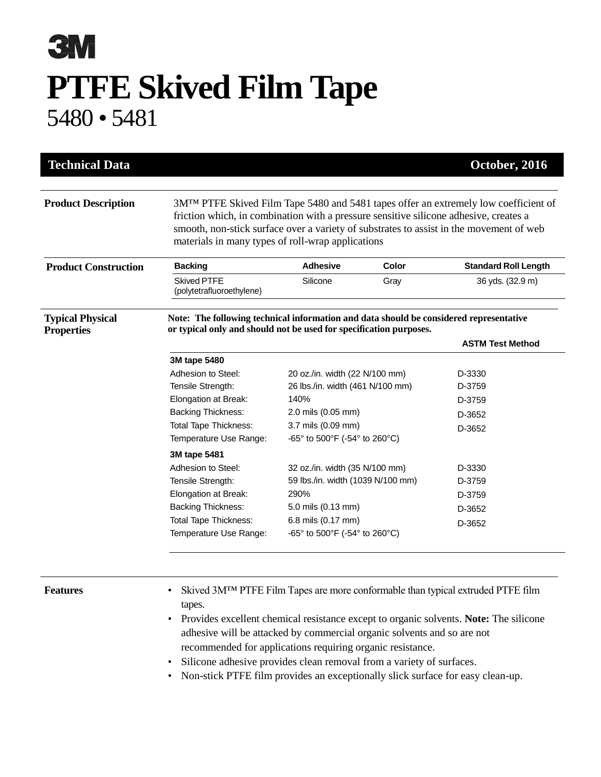## **3M PTFE Skived Film Tape** 5480 • 5481

| <b>Technical Data</b>       |                                                                                                                                                                                                                                                                                                                                           |                                   |       | October, 2016               |
|-----------------------------|-------------------------------------------------------------------------------------------------------------------------------------------------------------------------------------------------------------------------------------------------------------------------------------------------------------------------------------------|-----------------------------------|-------|-----------------------------|
| <b>Product Description</b>  | 3M <sup>TM</sup> PTFE Skived Film Tape 5480 and 5481 tapes offer an extremely low coefficient of<br>friction which, in combination with a pressure sensitive silicone adhesive, creates a<br>smooth, non-stick surface over a variety of substrates to assist in the movement of web<br>materials in many types of roll-wrap applications |                                   |       |                             |
| <b>Product Construction</b> | <b>Backing</b>                                                                                                                                                                                                                                                                                                                            | <b>Adhesive</b>                   | Color | <b>Standard Roll Length</b> |
|                             | <b>Skived PTFE</b><br>(polytetrafluoroethylene)                                                                                                                                                                                                                                                                                           | Silicone                          | Gray  | 36 yds. (32.9 m)            |
| <b>Typical Physical</b>     | Note: The following technical information and data should be considered representative                                                                                                                                                                                                                                                    |                                   |       |                             |
| <b>Properties</b>           | or typical only and should not be used for specification purposes.                                                                                                                                                                                                                                                                        |                                   |       | <b>ASTM Test Method</b>     |
|                             | 3M tape 5480                                                                                                                                                                                                                                                                                                                              |                                   |       |                             |
|                             | Adhesion to Steel:                                                                                                                                                                                                                                                                                                                        | 20 oz./in. width (22 N/100 mm)    |       | D-3330                      |
|                             | Tensile Strength:                                                                                                                                                                                                                                                                                                                         | 26 lbs./in. width (461 N/100 mm)  |       | D-3759                      |
|                             | Elongation at Break:                                                                                                                                                                                                                                                                                                                      | 140%                              |       | D-3759                      |
|                             | <b>Backing Thickness:</b>                                                                                                                                                                                                                                                                                                                 | 2.0 mils (0.05 mm)                |       | D-3652                      |
|                             | <b>Total Tape Thickness:</b>                                                                                                                                                                                                                                                                                                              | 3.7 mils (0.09 mm)                |       | D-3652                      |
|                             | Temperature Use Range:                                                                                                                                                                                                                                                                                                                    | -65° to 500°F (-54° to 260°C)     |       |                             |
|                             | 3M tape 5481                                                                                                                                                                                                                                                                                                                              |                                   |       |                             |
|                             | Adhesion to Steel:                                                                                                                                                                                                                                                                                                                        | 32 oz./in. width (35 N/100 mm)    |       | D-3330                      |
|                             | Tensile Strength:                                                                                                                                                                                                                                                                                                                         | 59 lbs./in. width (1039 N/100 mm) |       | D-3759                      |
|                             | Elongation at Break:                                                                                                                                                                                                                                                                                                                      | 290%                              |       | D-3759                      |
|                             | <b>Backing Thickness:</b>                                                                                                                                                                                                                                                                                                                 | 5.0 mils (0.13 mm)                |       | D-3652                      |
|                             |                                                                                                                                                                                                                                                                                                                                           | 6.8 mils (0.17 mm)                |       |                             |
|                             | <b>Total Tape Thickness:</b>                                                                                                                                                                                                                                                                                                              |                                   |       | D-3652                      |

- **Features** Skived 3M™ PTFE Film Tapes are more conformable than typical extruded PTFE film tapes.
	- Provides excellent chemical resistance except to organic solvents. **Note:** The silicone adhesive will be attacked by commercial organic solvents and so are not recommended for applications requiring organic resistance.
	- Silicone adhesive provides clean removal from a variety of surfaces.
	- Non-stick PTFE film provides an exceptionally slick surface for easy clean-up.